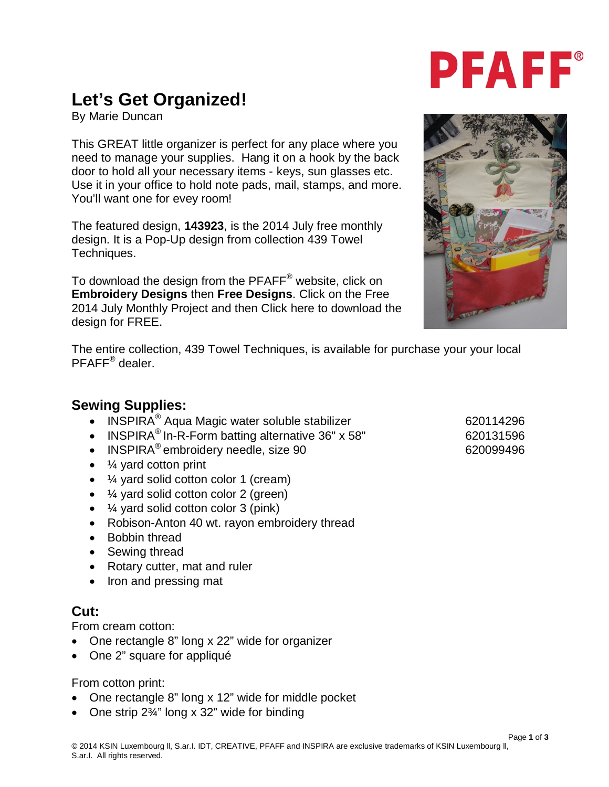## **Let's Get Organized!**

By Marie Duncan

This GREAT little organizer is perfect for any place where you need to manage your supplies. Hang it on a hook by the back door to hold all your necessary items - keys, sun glasses etc. Use it in your office to hold note pads, mail, stamps, and more. You'll want one for evey room!

The featured design, **143923**, is the 2014 July free monthly design. It is a Pop-Up design from collection 439 Towel Techniques.

To download the design from the PFAFF<sup>®</sup> website, click on **Embroidery Designs** then **Free Designs**. Click on the Free 2014 July Monthly Project and then Click here to download the design for FREE.

The entire collection, 439 Towel Techniques, is available for purchase your your local PFAFF® dealer.

#### **Sewing Supplies:**

- INSPIRA<sup>®</sup> Aqua Magic water soluble stabilizer 620114296
- INSPIRA<sup>®</sup> In-R-Form batting alternative  $36" \times 58"$  620131596
- INSPIRA<sup>®</sup> embroidery needle, size  $90$  620099496
- ¼ yard cotton print
- ¼ yard solid cotton color 1 (cream)
- ¼ yard solid cotton color 2 (green)
- ¼ yard solid cotton color 3 (pink)
- Robison-Anton 40 wt. rayon embroidery thread
- Bobbin thread
- Sewing thread
- Rotary cutter, mat and ruler
- Iron and pressing mat

### **Cut:**

From cream cotton:

- One rectangle 8" long x 22" wide for organizer
- One 2" square for appliqué

#### From cotton print:

- One rectangle 8" long x 12" wide for middle pocket
- One strip 2¾" long x 32" wide for binding





# **PFAFF®**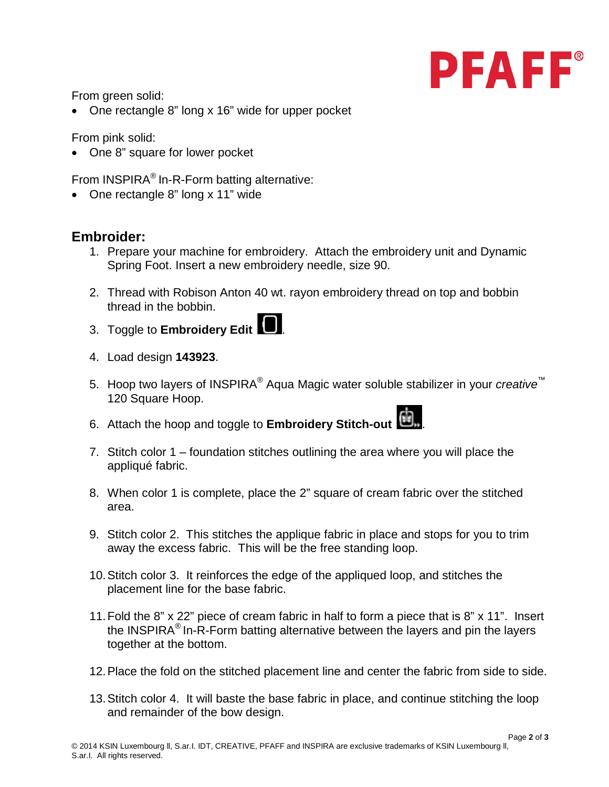

From green solid:

• One rectangle 8" long x 16" wide for upper pocket

From pink solid:

• One 8" square for lower pocket

From INSPIRA® In-R-Form batting alternative:

• One rectangle 8" long x 11" wide

#### **Embroider:**

- 1. Prepare your machine for embroidery. Attach the embroidery unit and Dynamic Spring Foot. Insert a new embroidery needle, size 90.
- 2. Thread with Robison Anton 40 wt. rayon embroidery thread on top and bobbin thread in the bobbin.
- 3. Toggle to **Embroidery Edit** .
- 4. Load design **143923**.
- 5. Hoop two layers of INSPIRA® Aqua Magic water soluble stabilizer in your *creative*™ 120 Square Hoop.
- 6. Attach the hoop and toggle to **Embroidery Stitch-out** .
- 7. Stitch color 1 foundation stitches outlining the area where you will place the appliqué fabric.
- 8. When color 1 is complete, place the 2" square of cream fabric over the stitched area.
- 9. Stitch color 2. This stitches the applique fabric in place and stops for you to trim away the excess fabric. This will be the free standing loop.
- 10.Stitch color 3. It reinforces the edge of the appliqued loop, and stitches the placement line for the base fabric.
- 11.Fold the 8" x 22" piece of cream fabric in half to form a piece that is 8" x 11". Insert the INSPIRA® In-R-Form batting alternative between the layers and pin the layers together at the bottom.
- 12.Place the fold on the stitched placement line and center the fabric from side to side.
- 13.Stitch color 4. It will baste the base fabric in place, and continue stitching the loop and remainder of the bow design.